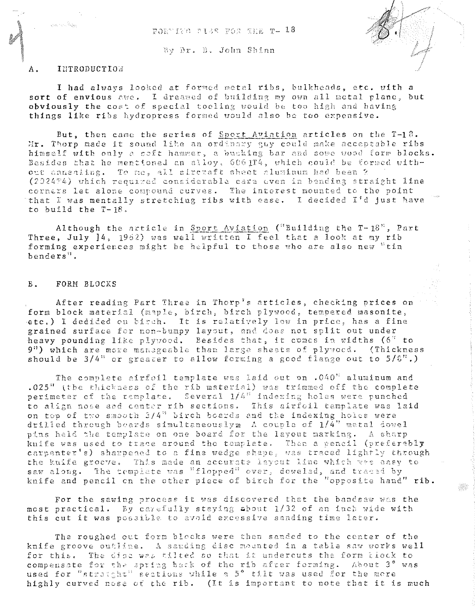PORTIVE PLAS FOR THE T- 18

38

By Dr. D. John Shinn

#### INTRODUCTION Λ.

State of a Maltipa

I had always looked at formed metal ribs, bulkheads, etc. with a sort of envious age. I dreamed of building my own all metal plane, but obviously the cost of special tooling would be too high and having things like ribs hydropress formed would also be too expensive.

But, then came the series of Sport Aviation articles on the T-18. Mr. Thorp made it sound like an ordinary guy could make acceptable ribs himself with only a soft hammer, a bucking bar and some wood form blocks. Besides that he mentioned an alloy, 6061T4, which could be formed without annealing. To me, all alrevaft sheet aluminum had been 2 (202474) which required considerable care even in bending straight line corners let alone compound curves. The interest mounted to the point that I was mentally stretching ribs with ease. I decided I'd just have to build the  $T-18$ .

Although the article in Sport Aviation ("Building the T-18", Part Three, July 14, 1962) was well written I feel that a look at my rib forming experiences might be helpful to those who are also new "tin benders".

#### $B$ . FORM BLOCKS

After reading Part Three in Thorp's articles, checking prices on form block material (maple, birch, birch plywood, tempered masonite, etc.) I dedided on birch. It is relatively low in price, has a fine grained surface for non-bumpy layout, and does not split out under heavy pounding like plywood. Besides that, it comes in widths (6" to 9") which are more manageable than large sheets of plywood. (Thickness should be  $3/4$ <sup>n</sup> or greater to allow forming a good flange out to  $5/8$ <sup>n</sup>.)

The complete airfoil template was laid out on .040" aluminum and .025" (the thickness of the rib material) was trimmed off the complete perimeter of the template. Several 1/4" indexing holes were punched to align nose and center rib sections. This airfoil template was laid on top of two smooth 3/4" birch boards and the indexing holes were drilled through beards simultaneouslym A couple of  $1/4$ " metal dowel pins held the template on one board for the layout marking. A sharp knife was used to trace around the template. Then a pencil (preferably carpenter's) sharpened to a fine wedge shape, was traced lightly through the knife grocye. This made an accurate layout line which was easy to saw along. The template was "flopped" over, doweled, and traced by knife and pencil on the other piece of birch for the "opposite hand" rib.

For the sawing process it was discovered that the bandsaw was the most practical. By carefully staying about 1/32 of an inch wide with this cut it was possible to avoid excessive sanding time later.

The roughed out form blocks were then sanded to the center of the knife groove outline. A sanding disc mounted in a table saw works well for this. The disc was tilted so that it undercuts the form ticek to compensate for the spring back of the rib after forming. About 3° was used for "stratght" sections while a 5° tilt was used for the more highly curved nose of the rib. (It is important to note that it is much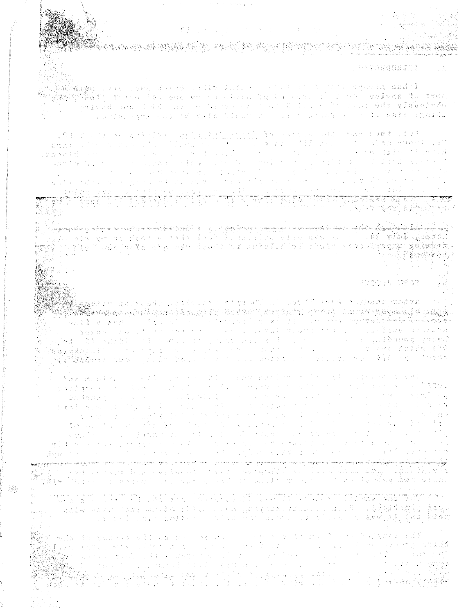# 業業 エイル・エーティング まいいしまいため

 $\beta$  ,  $\alpha$  ,  $\beta$  ,  $\beta$  ,  $\alpha$  ,  $\alpha$  ,  $\alpha$  ,  $\alpha$  ,  $\alpha$ 

# 

### LOO TAGGOSTID

(《接收权论法  $\gamma=\eta_{\rm Q} \rho_{\rm C} \omega_{\rm C}$  ,  $\tau_{\rm C} \approx \tau_{\rm Q}$ 

i välingung 1990 1990. Samund bland som bland och stade och sin bestedelse på andre tid samund.<br>Staden i 1990 på de på en bland skape spå staden i både på staden sin så som mund van den stand.  $\frac{1}{2}$  , and the second contribution  $\frac{1}{2}$  . The second contribution of the second second second second second second second second second second second second second second second second second second second secon 人名 "这样的社会性的,如此了,才好,你说是你,我们们的好,你不可以在这个生活的学校和学习生,一个人身上,这是最多,学生都是对正

.<br>Tangkang kala ay katang mang mang pang katang katang kalang kalang kalang kalang kalang kalang kalang kalang ka t standard og de steet at 1984 by 1985. I standard fan de beskein it de fjouwer steet fan de foart fan de foar "你不 医脑囊 的复数医自动性胃炎 网络凯尔塔顿 网络西班牙 网络罗马克罗马克罗马克罗马克罗马克罗马克罗马克罗马德国的 医精神病病 地 <sub>リ</sub>トル (Perschend) 歌。

SADOIS MESS

(真意を始め、面包もあたれた、そのほと、「までもし」になっていくが、ことができることがある。これになる。かどうな感激。 an sa katakaran dan sahiji dan satu sa kabupatén Salah Salah Salah Salah Salah Sula di Kabupatén Jawa Marata<br>Salah Salah Salah Salah Salah Salah Salah Salah Salah Salah Salah Salah Salah Salah Salah Salah Salah Salah Sa websy the live that we have a complete will well to a lost configure besix we  $\mathbb{P}^1_{\mathcal{C}_1}$  ,  $\mathbb{P}^2_{\mathcal{C}_2}$  ,  $\mathbb{P}^1_{\mathcal{C}_1}$  ,  $\mathbb{P}^1_{\mathcal{C}_2}$  ,  $\mathbb{P}^1_{\mathcal{C}_1}$  ,  $\mathbb{P}^1_{\mathcal{C}_2}$  ,  $\mathbb{P}^1_{\mathcal{C}_1}$  ,  $\mathbb{P}^1_{\mathcal{C}_2}$  ,  $\mathbb{P}^1_{\mathcal{C}_1}$  ,  $\mathbb{P}^1_{\mathcal{C}_2}$  ,

is.<br>1910 – Bank and kan bernament for the state of the state and finite to site of the state finite state of the S<br>1910 – An American Controller and the state of the state of the state of the state of the state of the Stat anti con el comunidad de la comunidad de la comunidad de la comunidad de la comunidad de la comunidad de la co<br>A la comunidad de la comunidad de la comunidad de la comunidad de la comunidad de la comunidad de la comunida

en kan de skaat de staat de skaat de skaat de skaat de skaat de skaat de skaat de skaat de skaat de skaat de s 。"<br>"我想要要要一定的人的,你也是不可能的,我也不会会会,你可能会会会会,我们也会会会会会会会会。" - 106. セッチ (とみょう) ひかまえにとも ともさまは Portical ひまつたい いちょうげ いいん 一性 (高原線)(高濃、清朝線) 参謀連載

, with the second planning one one construction of the  $\lambda$  function of  $\lambda$  and  $\lambda$ 

 $\langle \hat{x}^{\dagger}, \hat{\psi}_{\vec{k}} \rangle$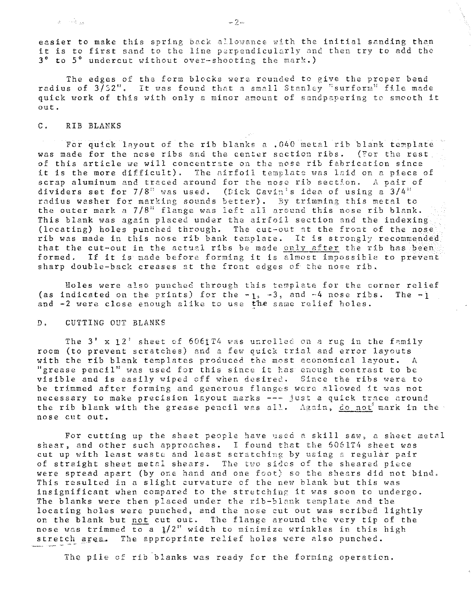easier to make this spring back allowance with the initial sanding than it is to first sand to the line perpendicularly and then try to add the  $3^\circ$  to  $5^\circ$  undercut without over-shooting the mark.)

The edges of the form blocks were rounded to give the proper bend radius of  $3/32$ <sup>"</sup>. It was found that a small Stanley "surform" file made quick work of this with only a minor amount of sandpapering to smooth it out.

#### C. RIB BLANKS

For quick layout of the rib blanks a .040 metel rib blank template was made for the nese ribs and the center section ribs. (For the rest, of this article we will concentrste on the nose rib fabrication since it is the more difficult). The airfoil template was laid on a piece of scrap aluminum and traced around for the nose rib section. A pair of dividers set for  $7/8$ <sup>"</sup> was used. (Dick Cavin's idea of using a  $3/4$ " radius washer for marking sounds better). By trimming this metal to the outer mark a 7/8" flange was left all around this nose rib blank. This blank was again placed under the airfoil section and the indexing (lccating) holes punched through. The cut-out at the front of the nose rib was made in this nose rib bank template. It is strongly recommended that the cut-out in the actual ribs be made only after the rib has been formed. If it is made before forming it is almost impossible to prevent sharp double-back creases at the front edges of the nose rib.

Holes were also punched through this template for the corner relief ndicated on the prints) for the  $-y$ ,  $-3$ , and  $-4$  nose ribs. The  $-j$ (as indicated on the prints) for the  $-1$ ,  $-3$ , and  $-4$  nose ribs. and  $-2$  were close enough alike to use the same relief holes.

## D. CUTTING OUT BLANKS

The  $3''$  x  $12'$  sheet of 6061T4 was unrolled on a rug in the family roem (to prevent scratches) and a few quick trial and error layouts with the rib blank templates produced the most economical layout. A "grease pencil" was used for this since it has enough contrast to be visible and is easily wiped off when desired. Since the ribs were to be trimmed after forming and generous flanges were allowed it was not necessary to make precision layout marks --- just a quick trace around the rib blank with the grease pencil was all. Again, do not mark in the nose cut out.

For cutting up the sheet people have used a skill saw, a sheet metal shear, and other such approcches. I found that the 6061T4 sheet was cut up with least waste and least scratching by using a regular pair of straight sheet metal shears. The two sides of the sheared piece were spread apart (by one hand and one foot) so the shears did not bind. This resulted in a slight curvature of the new blank but this was insignificant when compared to the stretching it was soon to undergo. The blanks were then placed under the rib-blank template and the locating holes were punched, and the nose cut out was scribed lightly on the blank but not cut out. The flange around the very tip of the nose was trimmed to a  $1/2$ " width to minimize wrinkles in this high stretch area. The appropriate relief holes were also punched.

The pile of rib-blanks was ready for the forming operation.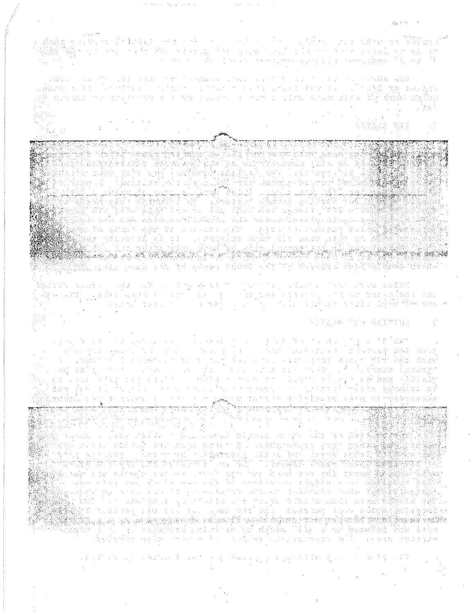#### $\label{eq:3.1} \psi_{\lambda} = \psi_{\lambda} + \psi_{\lambda} \left( \psi_{\lambda} \psi_{\lambda} \psi_{\lambda} \right) + \psi_{\lambda} \left( \psi_{\lambda} \psi_{\lambda} \psi_{\lambda} \right)$

rent and the second states of the second control of the control of the second second second second second second<br>The second second second second second second second second second second second second second second second ish san and the St. and the state of the state of the state of the St. of the control of the special construction of the second second second second second second second second second second second second second second second second second second second second second second second second seco

i i prad visit ta streli v to sa prosestance se a pravile v velikovitelji streli se v provinska <mark>sta 2</mark>.<br>La bane se title se streli se v stole se stole se se streli v velikovitelj se stole se stole stranja i Napoleo and, at he seem on the company of the decomposition of the section and an and of discussion any flex 88 N.

ANYANS MIP  $\frac{1}{2} \frac{1}{2} \frac{1}{2} \frac{1}{2} \frac{1}{2} \frac{1}{2} \frac{1}{2}$ r (1990) a bhliain an Chuid Chuid Chuid ann an Chuid Chuid Chuid Chuid Chuid Chuid Chuid Chuid Chuid Chuid Chu a de la construcción de la construcción de la construcción de la construcción de la construcción de la construc<br>A construcción de la construcción de la construcción de la construcción de la construcción de la construcción n Kabupatén

e de la provincia de la provincia de la provincia de la provincia de la provincia de la provincia de la provin<br>Composición de la provincia de la provincia de la provincia de la provincia de la provincia de la provincia de

st.<br>1980: The explorer poster who has been the transfer of the second second to the second second second second s<br>1981: Albert Party of the second second second second second second second second second second second secon

PARADO FUT SEITING

「最後の動物を見る」ということが、そのことで、このことが、このことには、これを見る。 こうしょう (ある) しょうしょう (ある) ともももしゃっぽん すぎし にんしゅせい さんきん (betrost) あい しゃかもんちゃんせん はつぶし ねゃま 料理機構施設 食食機嫌欲 e de la construito de la construcción de la construcción de la construcción de la construcción de la construcc<br>Se a la construcción de la construcción de la companya de la construcción de la construcción de la construcció<br> i kalendar dalam penganjungan penganjungan penganjungan penganjungan penganjungan penganjungan pangang pangala a sa mata a sa sa sa ang ang pagday ang ang ang magalala na pang sa nang malang pang at na ang mang ang malang arian da basar da a shekarar a shekarar a shekarar 1979. A shekarar ta shekarar 2009 a shekarar 200 kendalan di Lauran di Luu dan berlang bermula dari alih di serepakan dan ke

医勒克顿氏 医心室的 医唇动脉的 美国海洋的 计可能 网络亚洲 医乳房 医阿斯特氏试验检 的复数人名英格兰人姓氏斯特的变体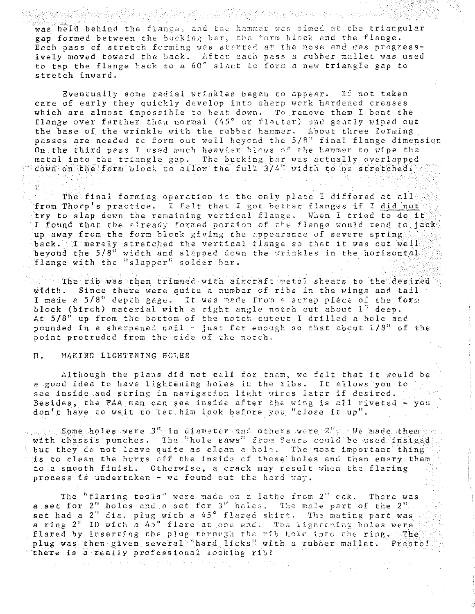#### an setting the Party of the Second Second Second Second Second Second Second Second Second Second Second Second<br>The Second Second Second Second Second Second Second Second Second Second Second Second Second Second Second S

was held behind the flange, and the hammer was aimed at the triangular gap formed between the bucking bar, the form block and the flange. Each pass of stretch forming wes sterted at the nose and was progressively moved toward the back. After each pass a rubber mellet was used to tap the flange back to a 60· slant to foro a new triangle gap to stretch inward.

Eventually some radial wrinkles began to appear. If not taken care of early they quickly develop into sharp work hardened creases which are almost impcssible to beat down. To remove them I bent the flange over farther than normal *(45"* or flatter) and gently wiped out the base of the wrinkle with the rubber hammer. About three forming passes are needed to form out well beyond the 5/B" final flange dimension On the third pass I used much heavier blows of the hammer to wipe the metal into the triangle gap. The bucking bar was actually overlapped down on the form block to allow the full<sup>2</sup>374<sup>1</sup> width to be stretched.

The final forming operation is the only place I differed at all from Thorp's practice. I felt that I got better flanges if I did not try to slap down the remaining vertical flange. When I tried to do it I found that the already formed portion of the flange would tend to jack up away from the form block giving the eppearance of severe spring back. I merely stretched the vertical flange so that it was out veIl beyond the 5/8" width and slapped down the wrinkles in the horizontal flange with the "slapper" solder har.

The rib was then trimmed with aircraft metal shears to the desired width. Since there were quite a number of ribs in the wings and tail I made a  $5/8$ <sup>\*</sup> depth gage. It was made from a scrap piece of the form block (birch) material with a right angle notch cut about  $1^\circ$  deep. At 5/8" up from the bottom of the notch cutout I drilled a hole and pounded in a sharpened nail - just far enough so that about  $1/8$ " of the point protruded from the side of the notch.

## H. MAKING LIGHTENING BOLES

医单位的 医二甲基甲基甲状腺 的复数形式美国人教学家 医内侧板

T

Although the plans did not call for them, we felt that it vould be a good idea to have lightening holes in the ribs. It allows you to see inside and string in navigation light wires later if desired. Besides, the FAA man can see inside after the wing is all riveted - you don't have to wait to let him look before you "close it up".

 $s$  Some holes vere  $3$  in diameter and others were  $2$ ". We made them  $\otimes$ with chassis punches. The "hole saws" from Sears could be used instead but they do not leave quite as clean a hole. The most important thing is to clean the burrs off the inside of these holes and then emery them to a smooth finish. Otherwise, a crack may result when the flaring process is undertaken - we found out the hard way.

The "flaring tools" were made on a lathe from  $2<sup>n</sup>$  oak. There was a set for  $2$ " holes and a set for  $3$ " holes. The male part of the  $2$ ". set had a 2" dia. plug with a 45° flared skirt. The mating part was a ring  $2^{\text{lf}}$  ID with a  $45^{\circ}$  flare at one end. The Lightening holes were flared by inserting the plug through the rib hole into the ring. The plug was then given several "hard licks" with a rubber mallet. Presto! there is a really professional looking rib!